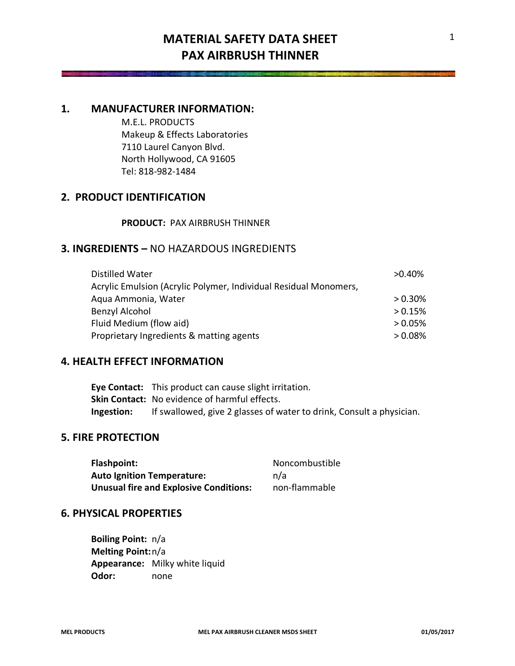## **MATERIAL SAFETY DATA SHEET PAX AIRBRUSH THINNER**

## **1. MANUFACTURER INFORMATION:**

M.E.L. PRODUCTS Makeup & Effects Laboratories 7110 Laurel Canyon Blvd. North Hollywood, CA 91605 Tel: 818-982-1484

## **2. PRODUCT IDENTIFICATION**

**PRODUCT:** PAX AIRBRUSH THINNER

## **3. INGREDIENTS –** NO HAZARDOUS INGREDIENTS

| Distilled Water                                                  | $>0.40\%$  |
|------------------------------------------------------------------|------------|
| Acrylic Emulsion (Acrylic Polymer, Individual Residual Monomers, |            |
| Agua Ammonia, Water                                              | $> 0.30\%$ |
| Benzyl Alcohol                                                   | > 0.15%    |
| Fluid Medium (flow aid)                                          | $> 0.05\%$ |
| Proprietary Ingredients & matting agents                         | $> 0.08\%$ |

## **4. HEALTH EFFECT INFORMATION**

**Eye Contact:** This product can cause slight irritation. **Skin Contact:** No evidence of harmful effects. **Ingestion:** If swallowed, give 2 glasses of water to drink, Consult a physician.

## **5. FIRE PROTECTION**

| Flashpoint:                                   | Noncombustible |
|-----------------------------------------------|----------------|
| <b>Auto Ignition Temperature:</b>             | n/a            |
| <b>Unusual fire and Explosive Conditions:</b> | non-flammable  |

### **6. PHYSICAL PROPERTIES**

**Boiling Point:** n/a **Melting Point:**n/a **Appearance:** Milky white liquid **Odor:** none